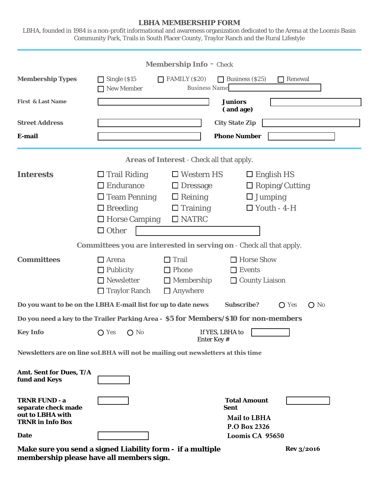## **LBHA MEMBERSHIP FORM**

LBHA, founded in 1984 is a non-profit informational and awareness organization dedicated to the Arena at the Loomis Basin Community Park, Trails in South Placer County, Traylor Ranch and the Rural Lifestyle

| <b>Membership Info - Check</b>                                                             |                                                                                                                           |                                                                                           |                                                                                                                                                                  |  |
|--------------------------------------------------------------------------------------------|---------------------------------------------------------------------------------------------------------------------------|-------------------------------------------------------------------------------------------|------------------------------------------------------------------------------------------------------------------------------------------------------------------|--|
| <b>Membership Types</b>                                                                    | $\Box$ Single (\$15)<br>New Member                                                                                        | $\Box$ FAMILY (\$20)<br><b>Business Name</b>                                              | $\Box$ Business (\$25)<br>$\Box$ Renewal                                                                                                                         |  |
| <b>First &amp; Last Name</b>                                                               | <b>Juniors</b><br>(and age)                                                                                               |                                                                                           |                                                                                                                                                                  |  |
| <b>Street Address</b>                                                                      |                                                                                                                           |                                                                                           | <b>City State Zip</b>                                                                                                                                            |  |
| E-mail                                                                                     |                                                                                                                           |                                                                                           | <b>Phone Number</b>                                                                                                                                              |  |
| <b>Areas of Interest - Check all that apply.</b>                                           |                                                                                                                           |                                                                                           |                                                                                                                                                                  |  |
| <b>Interests</b>                                                                           | $\Box$ Trail Riding<br>$\Box$ Endurance<br>$\Box$ Team Penning<br>$\Box$ Breeding<br>$\Box$ Horse Camping<br>$\Box$ Other | $\Box$ Western HS<br>$\Box$ Dressage<br>$\Box$ Reining<br>$\Box$ Training<br>$\Box$ NATRC | $\Box$ English HS<br>$\Box$ Roping/Cutting<br>$\Box$ Jumping<br>$\Box$ Youth - 4-H<br><b>Committees you are interested in serving on</b> - Check all that apply. |  |
| <b>Committees</b>                                                                          | $\Box$ Arena<br>$\Box$ Publicity<br>$\Box$ Newsletter<br>$\Box$ Traylor Ranch                                             | $\Box$ Trail<br>$\Box$ Phone<br>$\Box$ Membership<br>$\Box$ Anywhere                      | □ Horse Show<br>$\Box$ Events<br>$\Box$ County Liaison                                                                                                           |  |
| Do you want to be on the LBHA E-mail list for up to date news                              |                                                                                                                           |                                                                                           | <b>Subscribe?</b><br>$O$ No<br>$\bigcirc$ Yes                                                                                                                    |  |
| Do you need a key to the Trailer Parking Area - \$5 for Members/\$10 for non-members       |                                                                                                                           |                                                                                           |                                                                                                                                                                  |  |
| <b>Key Info</b>                                                                            | $O$ Yes $O$ No                                                                                                            | If YES, LBHA to<br>Enter Key #                                                            |                                                                                                                                                                  |  |
| Newsletters are on line soLBHA will not be mailing out newsletters at this time            |                                                                                                                           |                                                                                           |                                                                                                                                                                  |  |
| Amt. Sent for Dues, T/A<br>fund and Keys                                                   |                                                                                                                           |                                                                                           |                                                                                                                                                                  |  |
| <b>TRNR FUND - a</b><br>separate check made<br>out to LBHA with<br><b>TRNR</b> in Info Box |                                                                                                                           |                                                                                           | <b>Total Amount</b><br>Sent<br><b>Mail to LBHA</b><br>P.O Box 2326                                                                                               |  |
| <b>Date</b>                                                                                |                                                                                                                           |                                                                                           | Loomis CA 95650                                                                                                                                                  |  |

**Make sure you send a signed Liability form - if a multiple membership please have all members sign.**

**Rev 3/2016**